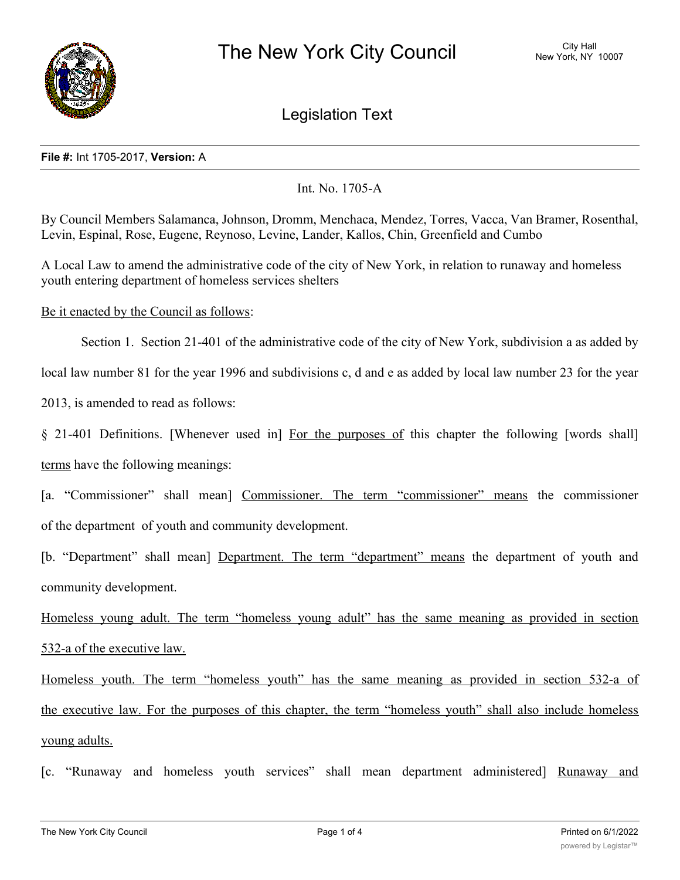

Legislation Text

## **File #:** Int 1705-2017, **Version:** A

## Int. No. 1705-A

By Council Members Salamanca, Johnson, Dromm, Menchaca, Mendez, Torres, Vacca, Van Bramer, Rosenthal, Levin, Espinal, Rose, Eugene, Reynoso, Levine, Lander, Kallos, Chin, Greenfield and Cumbo

A Local Law to amend the administrative code of the city of New York, in relation to runaway and homeless youth entering department of homeless services shelters

Be it enacted by the Council as follows:

Section 1. Section 21-401 of the administrative code of the city of New York, subdivision a as added by

local law number 81 for the year 1996 and subdivisions c, d and e as added by local law number 23 for the year

2013, is amended to read as follows:

§ 21-401 Definitions. [Whenever used in] For the purposes of this chapter the following [words shall] terms have the following meanings:

[a. "Commissioner" shall mean] Commissioner. The term "commissioner" means the commissioner of the department of youth and community development.

[b. "Department" shall mean] Department. The term "department" means the department of youth and community development.

Homeless young adult. The term "homeless young adult" has the same meaning as provided in section 532-a of the executive law.

Homeless youth. The term "homeless youth" has the same meaning as provided in section 532-a of the executive law. For the purposes of this chapter, the term "homeless youth" shall also include homeless young adults.

[c. "Runaway and homeless youth services" shall mean department administered] Runaway and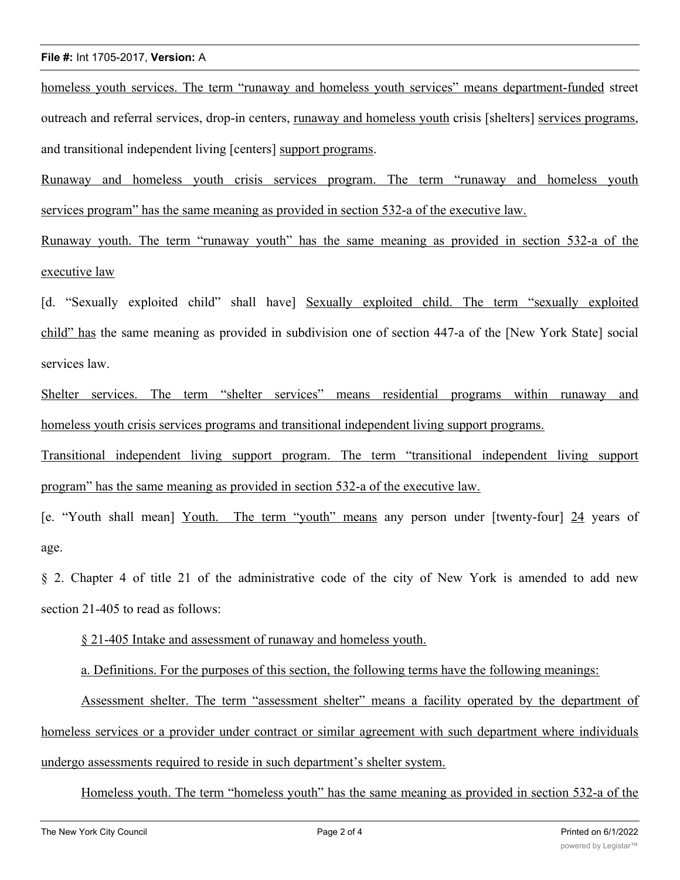## **File #:** Int 1705-2017, **Version:** A

homeless youth services. The term "runaway and homeless youth services" means department-funded street outreach and referral services, drop-in centers, runaway and homeless youth crisis [shelters] services programs, and transitional independent living [centers] support programs.

Runaway and homeless youth crisis services program. The term "runaway and homeless youth services program" has the same meaning as provided in section 532-a of the executive law.

Runaway youth. The term "runaway youth" has the same meaning as provided in section 532-a of the executive law

[d. "Sexually exploited child" shall have] Sexually exploited child. The term "sexually exploited child" has the same meaning as provided in subdivision one of section 447-a of the [New York State] social services law.

Shelter services. The term "shelter services" means residential programs within runaway and homeless youth crisis services programs and transitional independent living support programs.

Transitional independent living support program. The term "transitional independent living support program" has the same meaning as provided in section 532-a of the executive law.

[e. "Youth shall mean] Youth. The term "youth" means any person under [twenty-four] 24 years of age.

§ 2. Chapter 4 of title 21 of the administrative code of the city of New York is amended to add new section 21-405 to read as follows:

§ 21-405 Intake and assessment of runaway and homeless youth.

a. Definitions. For the purposes of this section, the following terms have the following meanings:

Assessment shelter. The term "assessment shelter" means a facility operated by the department of homeless services or a provider under contract or similar agreement with such department where individuals undergo assessments required to reside in such department's shelter system.

Homeless youth. The term "homeless youth" has the same meaning as provided in section 532-a of the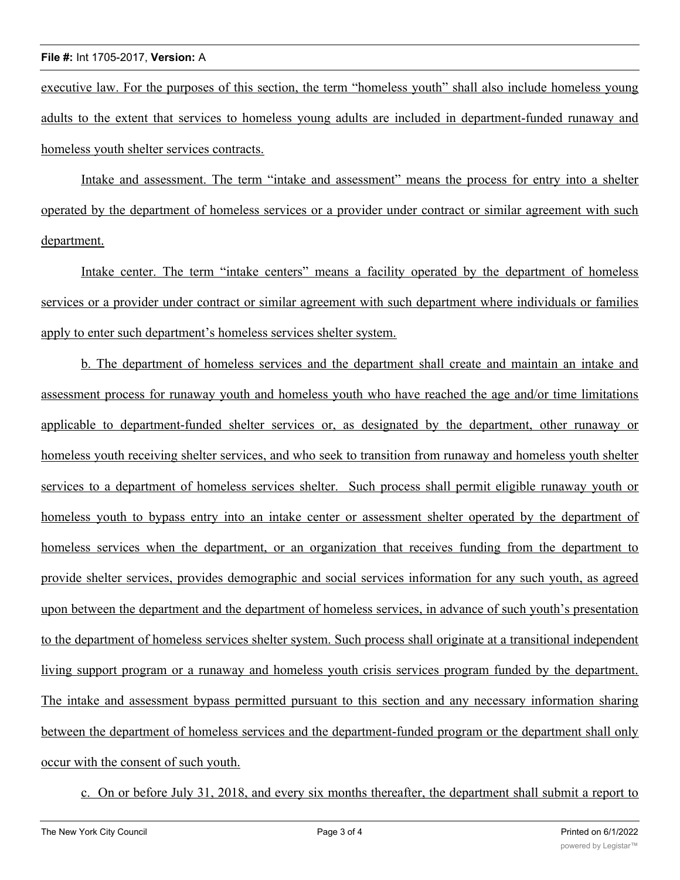executive law. For the purposes of this section, the term "homeless youth" shall also include homeless young adults to the extent that services to homeless young adults are included in department-funded runaway and homeless youth shelter services contracts.

Intake and assessment. The term "intake and assessment" means the process for entry into a shelter operated by the department of homeless services or a provider under contract or similar agreement with such department.

Intake center. The term "intake centers" means a facility operated by the department of homeless services or a provider under contract or similar agreement with such department where individuals or families apply to enter such department's homeless services shelter system.

b. The department of homeless services and the department shall create and maintain an intake and assessment process for runaway youth and homeless youth who have reached the age and/or time limitations applicable to department-funded shelter services or, as designated by the department, other runaway or homeless youth receiving shelter services, and who seek to transition from runaway and homeless youth shelter services to a department of homeless services shelter. Such process shall permit eligible runaway youth or homeless youth to bypass entry into an intake center or assessment shelter operated by the department of homeless services when the department, or an organization that receives funding from the department to provide shelter services, provides demographic and social services information for any such youth, as agreed upon between the department and the department of homeless services, in advance of such youth's presentation to the department of homeless services shelter system. Such process shall originate at a transitional independent living support program or a runaway and homeless youth crisis services program funded by the department. The intake and assessment bypass permitted pursuant to this section and any necessary information sharing between the department of homeless services and the department-funded program or the department shall only occur with the consent of such youth.

c. On or before July 31, 2018, and every six months thereafter, the department shall submit a report to